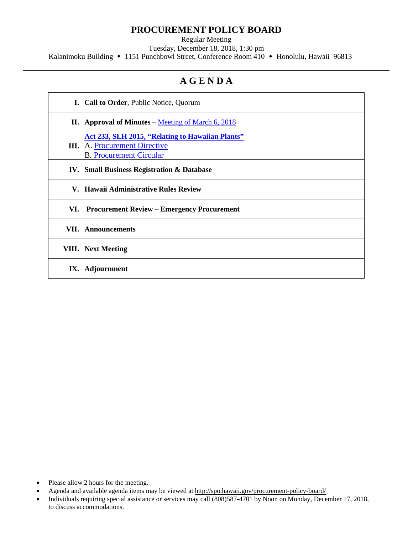## **PROCUREMENT POLICY BOARD**

Regular Meeting

Tuesday, December 18, 2018, 1:30 pm

Kalanimoku Building • 1151 Punchbowl Street, Conference Room 410 • Honolulu, Hawaii 96813

# **A G E N D A**

| I.    | <b>Call to Order, Public Notice, Quorum</b>                                                                           |
|-------|-----------------------------------------------------------------------------------------------------------------------|
| П.    | <b>Approval of Minutes – Meeting of March 6, 2018</b>                                                                 |
| III.  | <b>Act 233, SLH 2015, "Relating to Hawaiian Plants"</b><br>A. Procurement Directive<br><b>B.</b> Procurement Circular |
| IV.   | <b>Small Business Registration &amp; Database</b>                                                                     |
| V.    | <b>Hawaii Administrative Rules Review</b>                                                                             |
| VI.   | <b>Procurement Review – Emergency Procurement</b>                                                                     |
| VII.  | <b>Announcements</b>                                                                                                  |
| VIII. | <b>Next Meeting</b>                                                                                                   |
| IX.   | <b>Adjournment</b>                                                                                                    |

- Please allow 2 hours for the meeting.
- Agenda and available agenda items may be viewed at <http://spo.hawaii.gov/procurement-policy-board/>
- Individuals requiring special assistance or services may call (808)587-4701 by Noon on Monday, December 17, 2018, to discuss accommodations.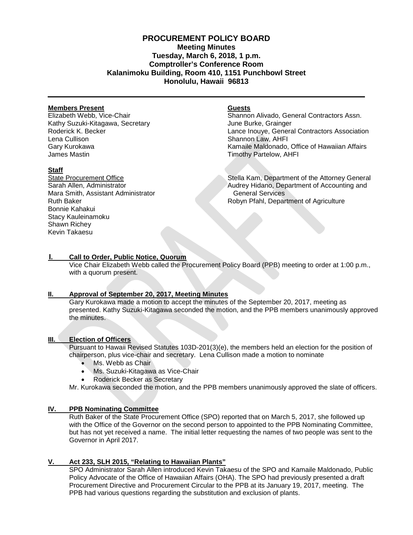### **PROCUREMENT POLICY BOARD Meeting Minutes Tuesday, March 6, 2018, 1 p.m. Comptroller's Conference Room Kalanimoku Building, Room 410, 1151 Punchbowl Street Honolulu, Hawaii 96813**

#### **Members Present**

Elizabeth Webb, Vice-Chair Kathy Suzuki-Kitagawa, Secretary Roderick K. Becker Lena Cullison Gary Kurokawa James Mastin

#### **Staff**

State Procurement Office Sarah Allen, Administrator Mara Smith, Assistant Administrator Ruth Baker Bonnie Kahakui Stacy Kauleinamoku Shawn Richey Kevin Takaesu

#### **Guests**

Shannon Alivado, General Contractors Assn. June Burke, Grainger Lance Inouye, General Contractors Association Shannon Law, AHFI Kamaile Maldonado, Office of Hawaiian Affairs Timothy Partelow, AHFI

Stella Kam, Department of the Attorney General Audrey Hidano, Department of Accounting and General Services Robyn Pfahl, Department of Agriculture

#### **I. Call to Order, Public Notice, Quorum**

Vice Chair Elizabeth Webb called the Procurement Policy Board (PPB) meeting to order at 1:00 p.m., with a quorum present.

#### **II. Approval of September 20, 2017, [Meeting Minutes](http://spo.hawaii.gov/wp-content/uploads/2014/10/2014_0929-PROCUREMENT-POLICY-BOARD-minutes-DRAFT.pdf)**

Gary Kurokawa made a motion to accept the minutes of the September 20, 2017, meeting as presented. Kathy Suzuki-Kitagawa seconded the motion, and the PPB members unanimously approved the minutes.

#### **III. Election of Officers**

Pursuant to Hawaii Revised Statutes 103D-201(3)(e), the members held an election for the position of chairperson, plus vice-chair and secretary. Lena Cullison made a motion to nominate

- Ms. Webb as Chair
- Ms. Suzuki-Kitagawa as Vice-Chair
- Roderick Becker as Secretary

Mr. Kurokawa seconded the motion, and the PPB members unanimously approved the slate of officers.

#### **IV. PPB Nominating Committee**

Ruth Baker of the State Procurement Office (SPO) reported that on March 5, 2017, she followed up with the Office of the Governor on the second person to appointed to the PPB Nominating Committee, but has not yet received a name. The initial letter requesting the names of two people was sent to the Governor in April 2017.

#### **V. Act 233, SLH 2015, "Relating to Hawaiian Plants"**

SPO Administrator Sarah Allen introduced Kevin Takaesu of the SPO and Kamaile Maldonado, Public Policy Advocate of the Office of Hawaiian Affairs (OHA). The SPO had previously presented a draft Procurement Directive and Procurement Circular to the PPB at its January 19, 2017, meeting. The PPB had various questions regarding the substitution and exclusion of plants.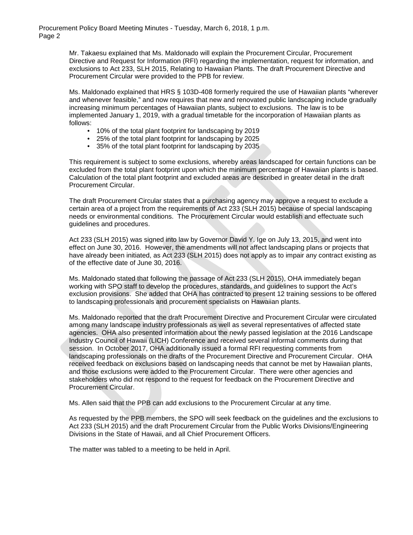Procurement Policy Board Meeting Minutes - Tuesday, March 6, 2018, 1 p.m. Page 2

> Mr. Takaesu explained that Ms. Maldonado will explain the Procurement Circular, Procurement Directive and Request for Information (RFI) regarding the implementation, request for information, and exclusions to Act 233, SLH 2015, Relating to Hawaiian Plants. The draft Procurement Directive and Procurement Circular were provided to the PPB for review.

Ms. Maldonado explained that HRS § 103D-408 formerly required the use of Hawaiian plants "wherever and whenever feasible," and now requires that new and renovated public landscaping include gradually increasing minimum percentages of Hawaiian plants, subject to exclusions. The law is to be implemented January 1, 2019, with a gradual timetable for the incorporation of Hawaiian plants as follows:

- 10% of the total plant footprint for landscaping by 2019
- 25% of the total plant footprint for landscaping by 2025
- 35% of the total plant footprint for landscaping by 2035

This requirement is subject to some exclusions, whereby areas landscaped for certain functions can be excluded from the total plant footprint upon which the minimum percentage of Hawaiian plants is based. Calculation of the total plant footprint and excluded areas are described in greater detail in the draft Procurement Circular.

The draft Procurement Circular states that a purchasing agency may approve a request to exclude a certain area of a project from the requirements of Act 233 (SLH 2015) because of special landscaping needs or environmental conditions. The Procurement Circular would establish and effectuate such guidelines and procedures.

Act 233 (SLH 2015) was signed into law by Governor David Y. Ige on July 13, 2015, and went into effect on June 30, 2016. However, the amendments will not affect landscaping plans or projects that have already been initiated, as Act 233 (SLH 2015) does not apply as to impair any contract existing as of the effective date of June 30, 2016.

Ms. Maldonado stated that following the passage of Act 233 (SLH 2015), OHA immediately began working with SPO staff to develop the procedures, standards, and guidelines to support the Act's exclusion provisions. She added that OHA has contracted to present 12 training sessions to be offered to landscaping professionals and procurement specialists on Hawaiian plants.

Ms. Maldonado reported that the draft Procurement Directive and Procurement Circular were circulated among many landscape industry professionals as well as several representatives of affected state agencies. OHA also presented information about the newly passed legislation at the 2016 Landscape Industry Council of Hawaii (LICH) Conference and received several informal comments during that session. In October 2017, OHA additionally issued a formal RFI requesting comments from landscaping professionals on the drafts of the Procurement Directive and Procurement Circular. OHA received feedback on exclusions based on landscaping needs that cannot be met by Hawaiian plants, and those exclusions were added to the Procurement Circular. There were other agencies and stakeholders who did not respond to the request for feedback on the Procurement Directive and Procurement Circular.

Ms. Allen said that the PPB can add exclusions to the Procurement Circular at any time.

As requested by the PPB members, the SPO will seek feedback on the guidelines and the exclusions to Act 233 (SLH 2015) and the draft Procurement Circular from the Public Works Divisions/Engineering Divisions in the State of Hawaii, and all Chief Procurement Officers.

The matter was tabled to a meeting to be held in April.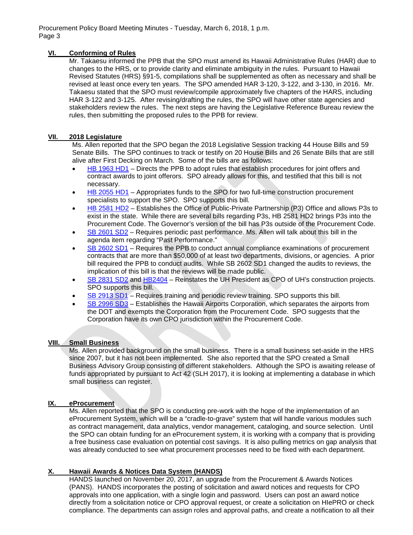Procurement Policy Board Meeting Minutes - Tuesday, March 6, 2018, 1 p.m. Page 3

#### **VI. Conforming of Rules**

Mr. Takaesu informed the PPB that the SPO must amend its Hawaii Administrative Rules (HAR) due to changes to the HRS, or to provide clarity and eliminate ambiguity in the rules. Pursuant to Hawaii Revised Statutes (HRS) §91-5, compilations shall be supplemented as often as necessary and shall be revised at least once every ten years. The SPO amended HAR 3-120, 3-122, and 3-130, in 2016. Mr. Takaesu stated that the SPO must review/compile approximately five chapters of the HARS, including HAR 3-122 and 3-125. After revising/drafting the rules, the SPO will have other state agencies and stakeholders review the rules. The next steps are having the Legislative Reference Bureau review the rules, then submitting the proposed rules to the PPB for review.

#### **VII. 2018 Legislature**

Ms. Allen reported that the SPO began the 2018 Legislative Session tracking 44 House Bills and 59 Senate Bills. The SPO continues to track or testify on 20 House Bills and 26 Senate Bills that are still alive after First Decking on March. Some of the bills are as follows:

- [HB 1963 HD1](https://www.capitol.hawaii.gov/measure_indiv.aspx?billtype=HB&billnumber=1963&year=2018)  Directs the PPB to adopt rules that establish procedures for joint offers and contract awards to joint offerors. SPO already allows for this, and testified that this bill is not necessary.
- [HB 2055](https://www.capitol.hawaii.gov/measure_indiv.aspx?billtype=HB&billnumber=2055) HD1 Appropriates funds to the SPO for two full-time construction procurement specialists to support the SPO. SPO supports this bill.
- [HB 2581](https://www.capitol.hawaii.gov/measure_indiv.aspx?billtype=HB&billnumber=2581&year=2018) HD2 Establishes the Office of Public-Private Partnership (P3) Office and allows P3s to exist in the state. While there are several bills regarding P3s, HB 2581 HD2 brings P3s into the Procurement Code. The Governor's version of the bill has P3s outside of the Procurement Code.
- [SB 2601](https://www.capitol.hawaii.gov/measure_indiv.aspx?billtype=SB&billnumber=2601) SD2 Requires periodic past performance. Ms. Allen will talk about this bill in the agenda item regarding "Past Performance."
- [SB 2602](https://www.capitol.hawaii.gov/measure_indiv.aspx?billtype=SB&billnumber=2602) SD1 Requires the PPB to conduct annual compliance examinations of procurement contracts that are more than \$50,000 of at least two departments, divisions, or agencies. A prior bill required the PPB to conduct audits. While SB 2602 SD1 changed the audits to reviews, the implication of this bill is that the reviews will be made public.
- [SB 2831](https://www.capitol.hawaii.gov/measure_indiv.aspx?billtype=SB&billnumber=2831) SD2 and [HB2404](https://www.capitol.hawaii.gov/measure_indiv.aspx?billtype=HB&billnumber=2404&year=2018)  Reinstates the UH President as CPO of UH's construction projects. SPO supports this bill.
- [SB 2913](https://www.capitol.hawaii.gov/measure_indiv.aspx?billtype=SB&billnumber=2913) SD1 Requires training and periodic review training. SPO supports this bill.
- [SB 2996](https://www.capitol.hawaii.gov/measure_indiv.aspx?billtype=SB&billnumber=2996) SD3 Establishes the Hawaii Airports Corporation, which separates the airports from the DOT and exempts the Corporation from the Procurement Code. SPO suggests that the Corporation have its own CPO jurisdiction within the Procurement Code.

#### **VIII. Small Business**

Ms. Allen provided background on the small business. There is a small business set-aside in the HRS since 2007, but it has not been implemented. She also reported that the SPO created a Small Business Advisory Group consisting of different stakeholders. Although the SPO is awaiting release of funds appropriated by pursuant to Act 42 (SLH 2017), it is looking at implementing a database in which small business can register.

#### **IX. eProcurement**

Ms. Allen reported that the SPO is conducting pre-work with the hope of the implementation of an eProcurement System, which will be a "cradle-to-grave" system that will handle various modules such as contract management, data analytics, vendor management, cataloging, and source selection. Until the SPO can obtain funding for an eProcurement system, it is working with a company that is providing a free business case evaluation on potential cost savings. It is also pulling metrics on gap analysis that was already conducted to see what procurement processes need to be fixed with each department.

#### **X. Hawaii Awards & Notices Data System (HANDS)**

HANDS launched on November 20, 2017, an upgrade from the Procurement & Awards Notices (PANS). HANDS incorporates the posting of solicitation and award notices and requests for CPO approvals into one application, with a single login and password. Users can post an award notice directly from a solicitation notice or CPO approval request, or create a solicitation on HIePRO or check compliance. The departments can assign roles and approval paths, and create a notification to all their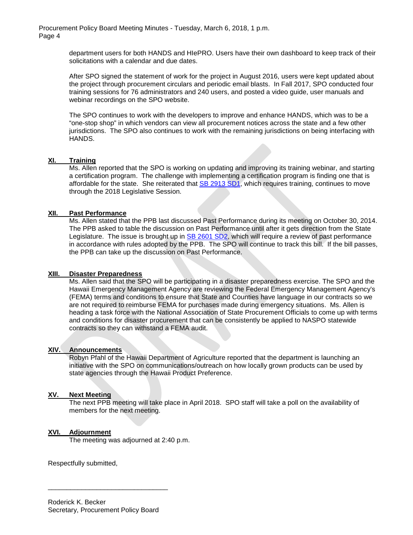Procurement Policy Board Meeting Minutes - Tuesday, March 6, 2018, 1 p.m. Page 4

> department users for both HANDS and HIePRO. Users have their own dashboard to keep track of their solicitations with a calendar and due dates.

> After SPO signed the statement of work for the project in August 2016, users were kept updated about the project through procurement circulars and periodic email blasts. In Fall 2017, SPO conducted four training sessions for 76 administrators and 240 users, and posted a video guide, user manuals and webinar recordings on the SPO website.

> The SPO continues to work with the developers to improve and enhance HANDS, which was to be a "one-stop shop" in which vendors can view all procurement notices across the state and a few other jurisdictions. The SPO also continues to work with the remaining jurisdictions on being interfacing with HANDS.

#### **XI. Training**

Ms. Allen reported that the SPO is working on updating and improving its training webinar, and starting a certification program. The challenge with implementing a certification program is finding one that is affordable for the state. She reiterated that [SB 2913 SD1,](https://www.capitol.hawaii.gov/measure_indiv.aspx?billtype=SB&billnumber=2913&year=2018) which requires training, continues to move through the 2018 Legislative Session.

#### **XII. Past Performance**

Ms. Allen stated that the PPB last discussed Past Performance during its meeting on October 30, 2014. The PPB asked to table the discussion on Past Performance until after it gets direction from the State Legislature. The issue is brought up in SB [2601 SD2,](https://www.capitol.hawaii.gov/measure_indiv.aspx?billtype=SB&billnumber=2601&year=2018) which will require a review of past performance in accordance with rules adopted by the PPB. The SPO will continue to track this bill. If the bill passes, the PPB can take up the discussion on Past Performance.

#### **XIII. Disaster Preparedness**

Ms. Allen said that the SPO will be participating in a disaster preparedness exercise. The SPO and the Hawaii Emergency Management Agency are reviewing the Federal Emergency Management Agency's (FEMA) terms and conditions to ensure that State and Counties have language in our contracts so we are not required to reimburse FEMA for purchases made during emergency situations. Ms. Allen is heading a task force with the National Association of State Procurement Officials to come up with terms and conditions for disaster procurement that can be consistently be applied to NASPO statewide contracts so they can withstand a FEMA audit.

#### **XIV. Announcements**

Robyn Pfahl of the Hawaii Department of Agriculture reported that the department is launching an initiative with the SPO on communications/outreach on how locally grown products can be used by state agencies through the Hawaii Product Preference.

#### **XV. Next Meeting**

The next PPB meeting will take place in April 2018. SPO staff will take a poll on the availability of members for the next meeting.

#### **XVI. Adjournment**

The meeting was adjourned at 2:40 p.m.

Respectfully submitted,

\_\_\_\_\_\_\_\_\_\_\_\_\_\_\_\_\_\_\_\_\_\_\_\_\_\_\_\_\_\_\_\_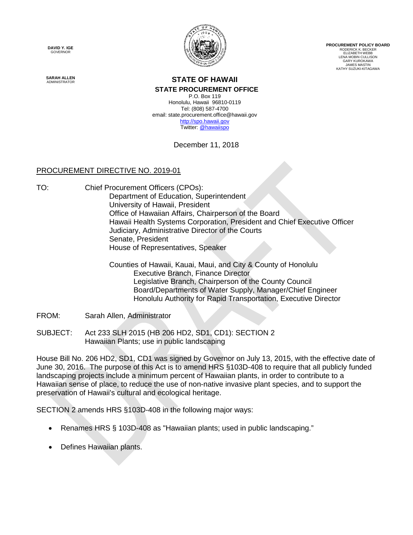**DAVID Y. IGE** GOVERNOR



**PROCUREMENT POLICY BOARD** RODERICK K. BECKER ELIZABETH WEBB LENA MOBIN CULLISON GARY KUROKAWA JAMES MASTIN KATHY SUZUKI-KITAGAWA

**SARAH ALLEN**

#### **STATE OF HAWAII STATE PROCUREMENT OFFICE**

P.O. Box 119 Honolulu, Hawaii 96810-0119 Tel: (808) 587-4700 email: state.procurement.office@hawaii.gov [http://spo.hawaii.gov](http://spo.hawaii.gov/) Twitter: [@hawaiispo](https://twitter.com/hawaiispo)

December 11, 2018

## PROCUREMENT DIRECTIVE NO. 2019-01

TO: Chief Procurement Officers (CPOs): Department of Education, Superintendent University of Hawaii, President Office of Hawaiian Affairs, Chairperson of the Board Hawaii Health Systems Corporation, President and Chief Executive Officer Judiciary, Administrative Director of the Courts Senate, President House of Representatives, Speaker

> Counties of Hawaii, Kauai, Maui, and City & County of Honolulu Executive Branch, Finance Director Legislative Branch, Chairperson of the County Council Board/Departments of Water Supply, Manager/Chief Engineer Honolulu Authority for Rapid Transportation, Executive Director

FROM: Sarah Allen, Administrator

SUBJECT: Act 233 SLH 2015 (HB 206 HD2, SD1, CD1): SECTION 2 Hawaiian Plants; use in public landscaping

House Bill No. 206 HD2, SD1, CD1 was signed by Governor on July 13, 2015, with the effective date of June 30, 2016. The purpose of this Act is to amend HRS §103D-408 to require that all publicly funded landscaping projects include a minimum percent of Hawaiian plants, in order to contribute to a Hawaiian sense of place, to reduce the use of non-native invasive plant species, and to support the preservation of Hawaii's cultural and ecological heritage.

SECTION 2 amends HRS §103D-408 in the following major ways:

- Renames HRS § 103D-408 as "Hawaiian plants; used in public landscaping."
- Defines Hawaiian plants.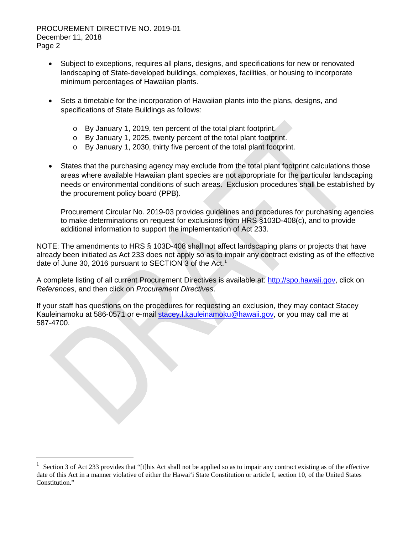- Subject to exceptions, requires all plans, designs, and specifications for new or renovated landscaping of State-developed buildings, complexes, facilities, or housing to incorporate minimum percentages of Hawaiian plants.
- Sets a timetable for the incorporation of Hawaiian plants into the plans, designs, and specifications of State Buildings as follows:
	- o By January 1, 2019, ten percent of the total plant footprint.
	- o By January 1, 2025, twenty percent of the total plant footprint.
	- o By January 1, 2030, thirty five percent of the total plant footprint.
- States that the purchasing agency may exclude from the total plant footprint calculations those areas where available Hawaiian plant species are not appropriate for the particular landscaping needs or environmental conditions of such areas. Exclusion procedures shall be established by the procurement policy board (PPB).

Procurement Circular No. 2019-03 provides guidelines and procedures for purchasing agencies to make determinations on request for exclusions from HRS §103D-408(c), and to provide additional information to support the implementation of Act 233.

NOTE: The amendments to HRS § 103D-408 shall not affect landscaping plans or projects that have already been initiated as Act 233 does not apply so as to impair any contract existing as of the effective date of June 30, 20[1](#page-6-0)6 pursuant to SECTION 3 of the Act.<sup>1</sup>

A complete listing of all current Procurement Directives is available at: [http://spo.hawaii.gov,](http://spo.hawaii.gov/) click on *References*, and then click on *Procurement Directives*.

If your staff has questions on the procedures for requesting an exclusion, they may contact Stacey Kauleinamoku at 586-0571 or e-mail [stacey.l.kauleinamoku@hawaii.gov,](mailto:stacey.l.kauleinamoku@hawaii.gov) or you may call me at 587-4700.

<span id="page-6-0"></span><sup>1</sup> Section 3 of Act 233 provides that "[t]his Act shall not be applied so as to impair any contract existing as of the effective date of this Act in a manner violative of either the Hawai'i State Constitution or article I, section 10, of the United States Constitution."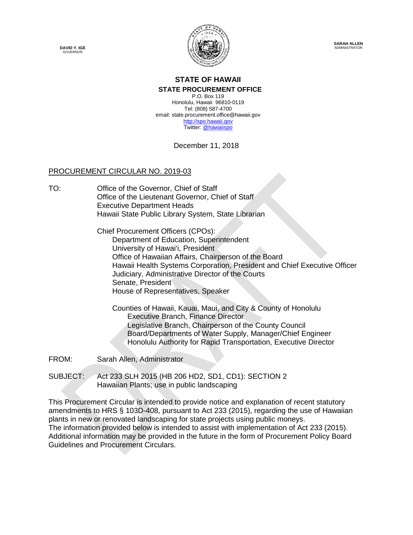**DAVID Y. IGE GOVERNOR** 



**SARAH ALLEN ADMINISTRATOR** 

## **STATE OF HAWAII STATE PROCUREMENT OFFICE**

P.O. Box 119 Honolulu, Hawaii 96810-0119 Tel: (808) 587-4700 email: state.procurement.office@hawaii.gov [http://spo.hawaii.gov](http://spo.hawaii.gov/) Twitter: [@hawaiispo](https://twitter.com/hawaiispo)

December 11, 2018

## PROCUREMENT CIRCULAR NO. 2019-03

TO: Office of the Governor, Chief of Staff Office of the Lieutenant Governor, Chief of Staff Executive Department Heads Hawaii State Public Library System, State Librarian

> Chief Procurement Officers (CPOs): Department of Education, Superintendent University of Hawai'i, President Office of Hawaiian Affairs, Chairperson of the Board Hawaii Health Systems Corporation, President and Chief Executive Officer Judiciary, Administrative Director of the Courts Senate, President House of Representatives, Speaker

Counties of Hawaii, Kauai, Maui, and City & County of Honolulu Executive Branch, Finance Director Legislative Branch, Chairperson of the County Council Board/Departments of Water Supply, Manager/Chief Engineer Honolulu Authority for Rapid Transportation, Executive Director

FROM: Sarah Allen, Administrator

SUBJECT: Act 233 SLH 2015 (HB 206 HD2, SD1, CD1): SECTION 2 Hawaiian Plants; use in public landscaping

This Procurement Circular is intended to provide notice and explanation of recent statutory amendments to HRS § 103D-408, pursuant to Act 233 (2015), regarding the use of Hawaiian plants in new or renovated landscaping for state projects using public moneys. The information provided below is intended to assist with implementation of Act 233 (2015). Additional information may be provided in the future in the form of Procurement Policy Board Guidelines and Procurement Circulars.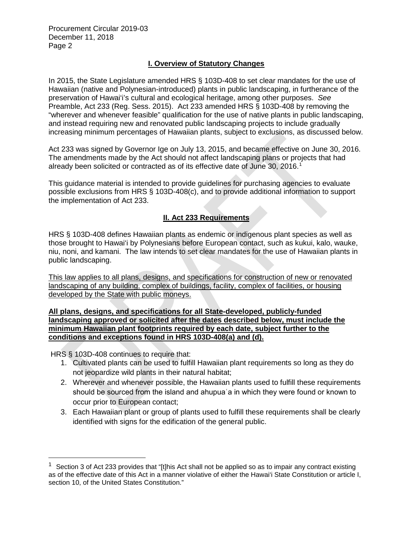Procurement Circular 2019-03 December 11, 2018 Page 2

## **I. Overview of Statutory Changes**

In 2015, the State Legislature amended HRS § 103D-408 to set clear mandates for the use of Hawaiian (native and Polynesian-introduced) plants in public landscaping, in furtherance of the preservation of Hawai'i's cultural and ecological heritage, among other purposes. *See* Preamble, Act 233 (Reg. Sess. 2015). Act 233 amended HRS § 103D-408 by removing the "wherever and whenever feasible" qualification for the use of native plants in public landscaping, and instead requiring new and renovated public landscaping projects to include gradually increasing minimum percentages of Hawaiian plants, subject to exclusions, as discussed below.

Act 233 was signed by Governor Ige on July 13, 2015, and became effective on June 30, 2016. The amendments made by the Act should not affect landscaping plans or projects that had already been solicited or contracted as of its effective date of June 30, 2016.[1](#page-8-0)

This guidance material is intended to provide guidelines for purchasing agencies to evaluate possible exclusions from HRS § 103D-408(c), and to provide additional information to support the implementation of Act 233.

## **II. Act 233 Requirements**

HRS § 103D-408 defines Hawaiian plants as endemic or indigenous plant species as well as those brought to Hawai'i by Polynesians before European contact, such as kukui, kalo, wauke, niu, noni, and kamani. The law intends to set clear mandates for the use of Hawaiian plants in public landscaping.

This law applies to all plans, designs, and specifications for construction of new or renovated landscaping of any building, complex of buildings, facility, complex of facilities, or housing developed by the State with public moneys.

#### **All plans, designs, and specifications for all State-developed, publicly-funded landscaping approved or solicited after the dates described below, must include the minimum Hawaiian plant footprints required by each date, subject further to the conditions and exceptions found in HRS 103D-408(a) and (d).**

HRS § 103D-408 continues to require that:

- 1. Cultivated plants can be used to fulfill Hawaiian plant requirements so long as they do not jeopardize wild plants in their natural habitat;
- 2. Wherever and whenever possible, the Hawaiian plants used to fulfill these requirements should be sourced from the island and ahupua a in which they were found or known to occur prior to European contact;
- 3. Each Hawaiian plant or group of plants used to fulfill these requirements shall be clearly identified with signs for the edification of the general public.

<span id="page-8-0"></span> $1$  Section 3 of Act 233 provides that "[t]his Act shall not be applied so as to impair any contract existing as of the effective date of this Act in a manner violative of either the Hawai'i State Constitution or article I, section 10, of the United States Constitution."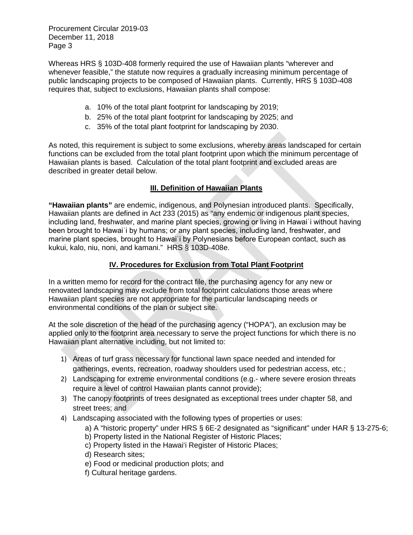Procurement Circular 2019-03 December 11, 2018 Page 3

Whereas HRS § 103D-408 formerly required the use of Hawaiian plants "wherever and whenever feasible," the statute now requires a gradually increasing minimum percentage of public landscaping projects to be composed of Hawaiian plants. Currently, HRS § 103D-408 requires that, subject to exclusions, Hawaiian plants shall compose:

- a. 10% of the total plant footprint for landscaping by 2019;
- b. 25% of the total plant footprint for landscaping by 2025; and
- c. 35% of the total plant footprint for landscaping by 2030.

As noted, this requirement is subject to some exclusions, whereby areas landscaped for certain functions can be excluded from the total plant footprint upon which the minimum percentage of Hawaiian plants is based. Calculation of the total plant footprint and excluded areas are described in greater detail below.

## **III. Definition of Hawaiian Plants**

**"Hawaiian plants"** are endemic, indigenous, and Polynesian introduced plants. Specifically, Hawaiian plants are defined in Act 233 (2015) as "any endemic or indigenous plant species, including land, freshwater, and marine plant species, growing or living in Hawai<sup>t</sup> without having been brought to Hawai'i by humans; or any plant species, including land, freshwater, and marine plant species, brought to Hawai`i by Polynesians before European contact, such as kukui, kalo, niu, noni, and kamani." HRS § 103D-408e.

## **IV. Procedures for Exclusion from Total Plant Footprint**

In a written memo for record for the contract file, the purchasing agency for any new or renovated landscaping may exclude from total footprint calculations those areas where Hawaiian plant species are not appropriate for the particular landscaping needs or environmental conditions of the plan or subject site.

At the sole discretion of the head of the purchasing agency ("HOPA"), an exclusion may be applied only to the footprint area necessary to serve the project functions for which there is no Hawaiian plant alternative including, but not limited to:

- 1) Areas of turf grass necessary for functional lawn space needed and intended for gatherings, events, recreation, roadway shoulders used for pedestrian access, etc.;
- 2) Landscaping for extreme environmental conditions (e.g.- where severe erosion threats require a level of control Hawaiian plants cannot provide);
- 3) The canopy footprints of trees designated as exceptional trees under chapter 58, and street trees; and
- 4) Landscaping associated with the following types of properties or uses:
	- a) A "historic property" under HRS § 6E-2 designated as "significant" under HAR § 13-275-6;
	- b) Property listed in the National Register of Historic Places;
	- c) Property listed in the Hawai'i Register of Historic Places;
	- d) Research sites;
	- e) Food or medicinal production plots; and
	- f) Cultural heritage gardens.